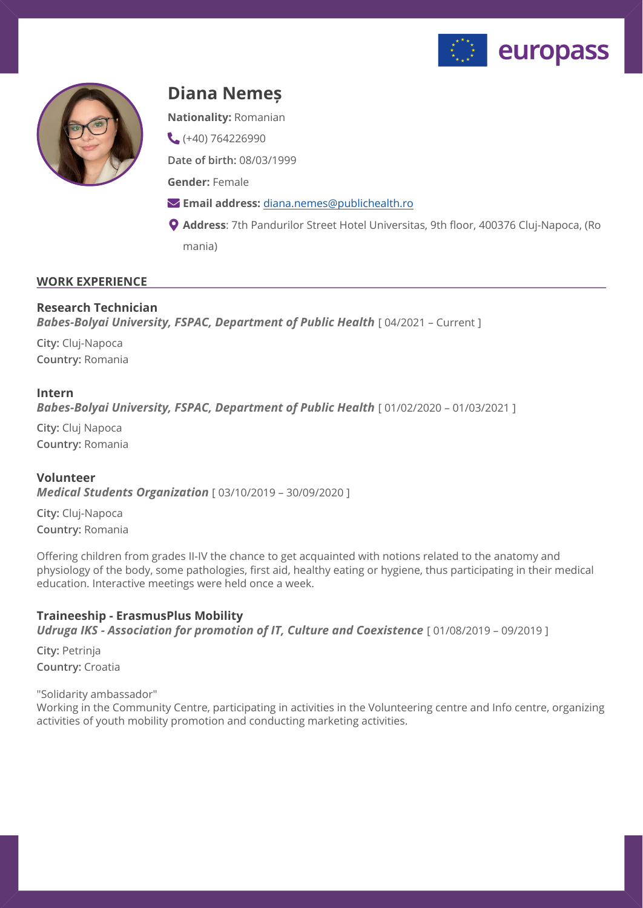



# **Diana Nemeș**

**Nationality:** Romanian

 $(+40)$  764226990

**Date of birth:** 08/03/1999

**Gender:** Female

- **Email address:** [diana.nemes@publichealth.ro](mailto:diana.nemes@publichealth.ro)
- **Address**: 7th Pandurilor Street Hotel Universitas, 9th floor, 400376 Cluj-Napoca, (Ro mania)

## **WORK EXPERIENCE**

## **Research Technician Babes-Bolyai University, FSPAC, Department of Public Health** [ 04/2021 - Current ]

**City:** Cluj-Napoca **Country:** Romania

#### **Intern**

**Babes-Bolyai University, FSPAC, Department of Public Health** [ 01/02/2020 - 01/03/2021 ]

**City:** Cluj Napoca **Country:** Romania

## **Volunteer**

*Medical Students Organization* [ 03/10/2019 – 30/09/2020 ]

**City:** Cluj-Napoca **Country:** Romania

Offering children from grades II-IV the chance to get acquainted with notions related to the anatomy and physiology of the body, some pathologies, first aid, healthy eating or hygiene, thus participating in their medical education. Interactive meetings were held once a week.

## **Traineeship - ErasmusPlus Mobility**

*Udruga IKS - Association for promotion of IT, Culture and Coexistence* [ 01/08/2019 – 09/2019 ]

**City:** Petrinja **Country:** Croatia

"Solidarity ambassador"

Working in the Community Centre, participating in activities in the Volunteering centre and Info centre, organizing activities of youth mobility promotion and conducting marketing activities.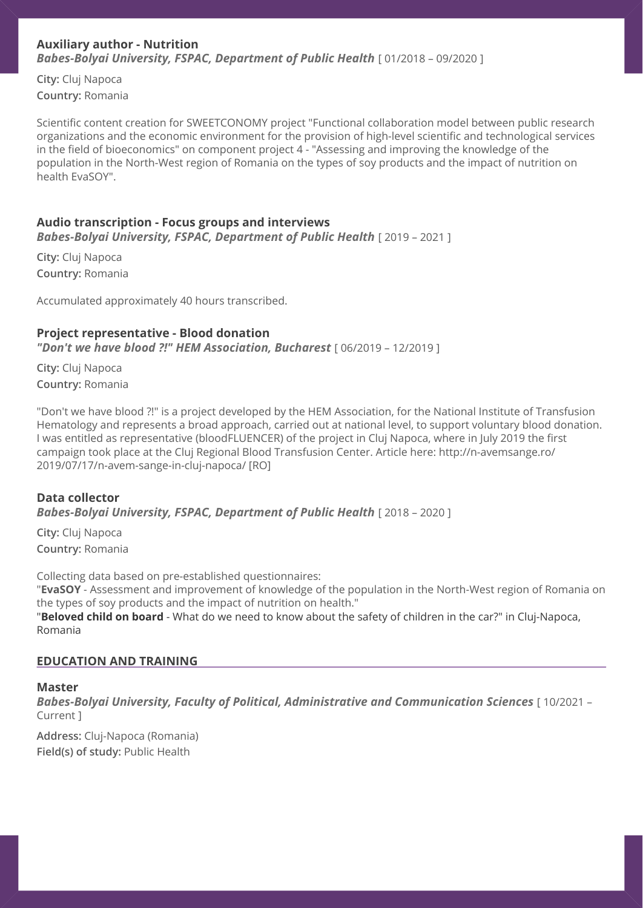## **Auxiliary author - Nutrition Babes-Bolyai University, FSPAC, Department of Public Health** [ 01/2018 – 09/2020 ]

**City:** Cluj Napoca **Country:** Romania

Scientific content creation for SWEETCONOMY project "Functional collaboration model between public research organizations and the economic environment for the provision of high-level scientific and technological services in the field of bioeconomics" on component project 4 - "Assessing and improving the knowledge of the population in the North-West region of Romania on the types of soy products and the impact of nutrition on health EvaSOY".

## **Audio transcription - Focus groups and interviews**

**Babes-Bolyai University, FSPAC, Department of Public Health** [ 2019 - 2021 ]

**City:** Cluj Napoca **Country:** Romania

Accumulated approximately 40 hours transcribed.

### **Project representative - Blood donation**

*"Don't we have blood ?!" HEM Association, Bucharest* [ 06/2019 – 12/2019 ]

**City:** Cluj Napoca **Country:** Romania

"Don't we have blood ?!" is a project developed by the HEM Association, for the National Institute of Transfusion Hematology and represents a broad approach, carried out at national level, to support voluntary blood donation. I was entitled as representative (bloodFLUENCER) of the project in Cluj Napoca, where in July 2019 the first campaign took place at the Cluj Regional Blood Transfusion Center. Article here: http://n-avemsange.ro/ 2019/07/17/n-avem-sange-in-cluj-napoca/ [RO]

### **Data collector Babes-Bolyai University, FSPAC, Department of Public Health** [ 2018 - 2020 ]

**City:** Cluj Napoca **Country:** Romania

Collecting data based on pre-established questionnaires: "**EvaSOY** - Assessment and improvement of knowledge of the population in the North-West region of Romania on the types of soy products and the impact of nutrition on health." "**Beloved child on board** - What do we need to know about the safety of children in the car?" in Cluj-Napoca, Romania

## **EDUCATION AND TRAINING**

#### **Master**

*Babes-Bolyai University, Faculty of Political, Administrative and Communication Sciences* [ 10/2021 – Current ]

**Address:** Cluj-Napoca (Romania) **Field(s) of study:** Public Health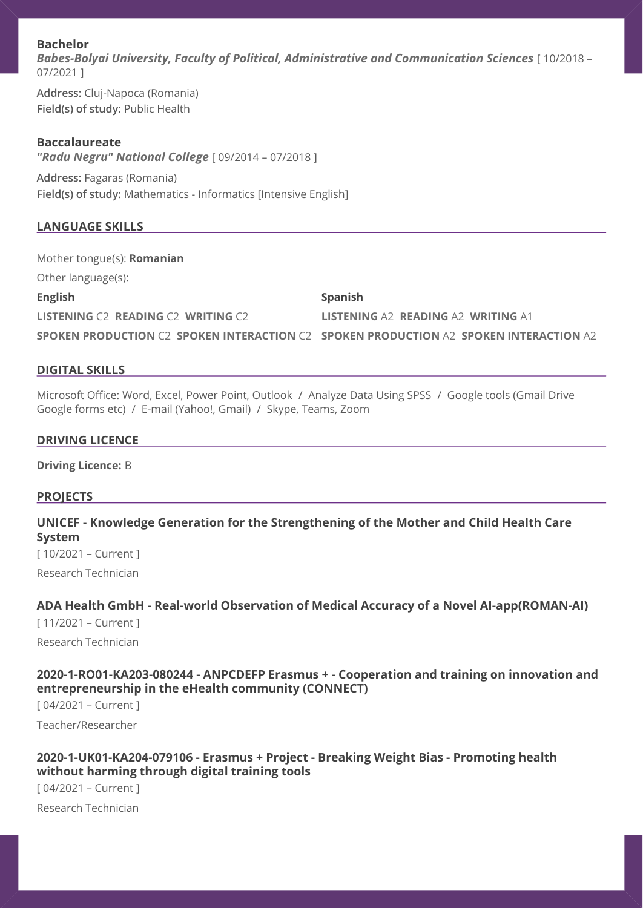## **Bachelor**

*Babes-Bolyai University, Faculty of Political, Administrative and Communication Sciences* [ 10/2018 – 07/2021 ]

**Address:** Cluj-Napoca (Romania) **Field(s) of study:** Public Health

### **Baccalaureate**

*"Radu Negru" National College* [ 09/2014 – 07/2018 ]

**Address:** Fagaras (Romania) **Field(s) of study:** Mathematics - Informatics [Intensive English]

## **LANGUAGE SKILLS**

Mother tongue(s): **Romanian** Other language(s):

**English** 

**LISTENING** C2 **READING** C2 **WRITING** C2

**Spanish** 

**LISTENING** A2 **READING** A2 **WRITING** A1

**SPOKEN PRODUCTION** C2 **SPOKEN INTERACTION** C2 **SPOKEN PRODUCTION** A2 **SPOKEN INTERACTION** A2

### **DIGITAL SKILLS**

Microsoft Office: Word, Excel, Power Point, Outlook / Analyze Data Using SPSS / Google tools (Gmail Drive Google forms etc) / E-mail (Yahoo!, Gmail) / Skype, Teams, Zoom

## **DRIVING LICENCE**

**Driving Licence:** B

## **PROJECTS**

**UNICEF - Knowledge Generation for the Strengthening of the Mother and Child Health Care System** 

[ 10/2021 – Current ]

Research Technician

## **ADA Health GmbH - Real-world Observation of Medical Accuracy of a Novel AI-app(ROMAN-AI)**

[ 11/2021 – Current ] Research Technician

## **2020-1-RO01-KA203-080244 - ANPCDEFP Erasmus + - Cooperation and training on innovation and entrepreneurship in the eHealth community (CONNECT)**

[ 04/2021 – Current ]

Teacher/Researcher

## **2020-1-UK01-KA204-079106 - Erasmus + Project - Breaking Weight Bias - Promoting health without harming through digital training tools**

[ 04/2021 – Current ]

Research Technician